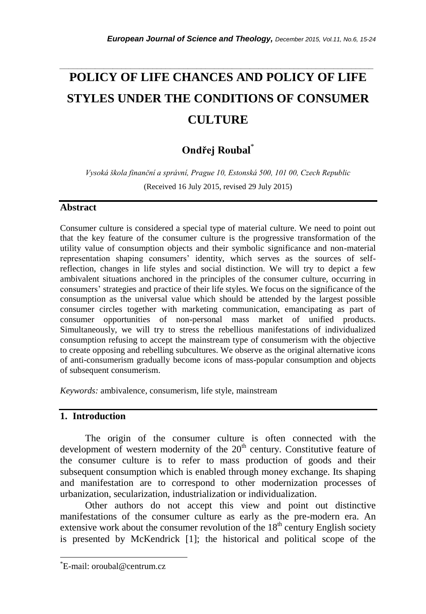# **POLICY OF LIFE CHANCES AND POLICY OF LIFE STYLES UNDER THE CONDITIONS OF CONSUMER CULTURE**

*\_\_\_\_\_\_\_\_\_\_\_\_\_\_\_\_\_\_\_\_\_\_\_\_\_\_\_\_\_\_\_\_\_\_\_\_\_\_\_\_\_\_\_\_\_\_\_\_\_\_\_\_\_\_\_\_\_\_\_\_\_\_\_\_\_\_\_\_\_\_\_*

## **Ondřej Roubal**\*

*Vysoká škola finanční a správní, Prague 10, Estonská 500, 101 00, Czech Republic* (Received 16 July 2015, revised 29 July 2015)

#### **Abstract**

Consumer culture is considered a special type of material culture. We need to point out that the key feature of the consumer culture is the progressive transformation of the utility value of consumption objects and their symbolic significance and non-material representation shaping consumers' identity, which serves as the sources of selfreflection, changes in life styles and social distinction. We will try to depict a few ambivalent situations anchored in the principles of the consumer culture, occurring in consumers" strategies and practice of their life styles. We focus on the significance of the consumption as the universal value which should be attended by the largest possible consumer circles together with marketing communication, emancipating as part of consumer opportunities of non-personal mass market of unified products. Simultaneously, we will try to stress the rebellious manifestations of individualized consumption refusing to accept the mainstream type of consumerism with the objective to create opposing and rebelling subcultures. We observe as the original alternative icons of anti-consumerism gradually become icons of mass-popular consumption and objects of subsequent consumerism.

*Keywords:* ambivalence, consumerism, life style, mainstream

#### **1. Introduction**

The origin of the consumer culture is often connected with the development of western modernity of the  $20<sup>th</sup>$  century. Constitutive feature of the consumer culture is to refer to mass production of goods and their subsequent consumption which is enabled through money exchange. Its shaping and manifestation are to correspond to other modernization processes of urbanization, secularization, industrialization or individualization.

Other authors do not accept this view and point out distinctive manifestations of the consumer culture as early as the pre-modern era. An extensive work about the consumer revolution of the  $18<sup>th</sup>$  century English society is presented by McKendrick [1]; the historical and political scope of the

l

<sup>\*</sup>E-mail: oroubal@centrum.cz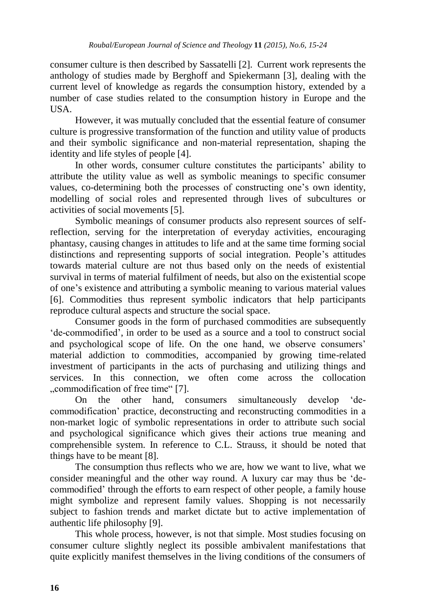consumer culture is then described by Sassatelli [2]. Current work represents the anthology of studies made by Berghoff and Spiekermann [3], dealing with the current level of knowledge as regards the consumption history, extended by a number of case studies related to the consumption history in Europe and the USA.

However, it was mutually concluded that the essential feature of consumer culture is progressive transformation of the function and utility value of products and their symbolic significance and non-material representation, shaping the identity and life styles of people [4].

In other words, consumer culture constitutes the participants' ability to attribute the utility value as well as symbolic meanings to specific consumer values, co-determining both the processes of constructing one"s own identity, modelling of social roles and represented through lives of subcultures or activities of social movements [5].

Symbolic meanings of consumer products also represent sources of selfreflection, serving for the interpretation of everyday activities, encouraging phantasy, causing changes in attitudes to life and at the same time forming social distinctions and representing supports of social integration. People's attitudes towards material culture are not thus based only on the needs of existential survival in terms of material fulfilment of needs, but also on the existential scope of one"s existence and attributing a symbolic meaning to various material values [6]. Commodities thus represent symbolic indicators that help participants reproduce cultural aspects and structure the social space.

Consumer goods in the form of purchased commodities are subsequently "de-commodified", in order to be used as a source and a tool to construct social and psychological scope of life. On the one hand, we observe consumers' material addiction to commodities, accompanied by growing time-related investment of participants in the acts of purchasing and utilizing things and services. In this connection, we often come across the collocation ".commodification of free time" [7].

On the other hand, consumers simultaneously develop "decommodification" practice, deconstructing and reconstructing commodities in a non-market logic of symbolic representations in order to attribute such social and psychological significance which gives their actions true meaning and comprehensible system. In reference to C.L. Strauss, it should be noted that things have to be meant [8].

The consumption thus reflects who we are, how we want to live, what we consider meaningful and the other way round. A luxury car may thus be "decommodified" through the efforts to earn respect of other people, a family house might symbolize and represent family values. Shopping is not necessarily subject to fashion trends and market dictate but to active implementation of authentic life philosophy [9].

This whole process, however, is not that simple. Most studies focusing on consumer culture slightly neglect its possible ambivalent manifestations that quite explicitly manifest themselves in the living conditions of the consumers of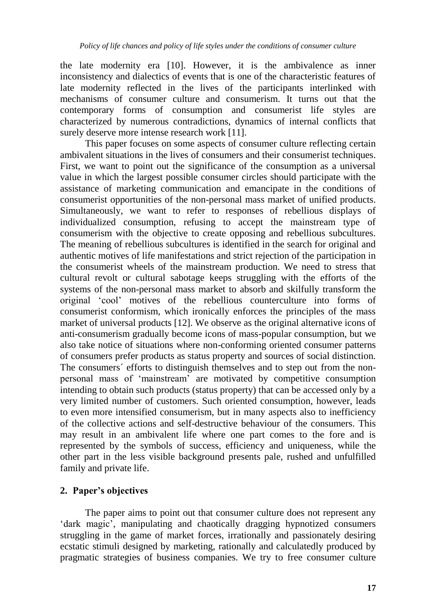the late modernity era [10]. However, it is the ambivalence as inner inconsistency and dialectics of events that is one of the characteristic features of late modernity reflected in the lives of the participants interlinked with mechanisms of consumer culture and consumerism. It turns out that the contemporary forms of consumption and consumerist life styles are characterized by numerous contradictions, dynamics of internal conflicts that surely deserve more intense research work [11].

This paper focuses on some aspects of consumer culture reflecting certain ambivalent situations in the lives of consumers and their consumerist techniques. First, we want to point out the significance of the consumption as a universal value in which the largest possible consumer circles should participate with the assistance of marketing communication and emancipate in the conditions of consumerist opportunities of the non-personal mass market of unified products. Simultaneously, we want to refer to responses of rebellious displays of individualized consumption, refusing to accept the mainstream type of consumerism with the objective to create opposing and rebellious subcultures. The meaning of rebellious subcultures is identified in the search for original and authentic motives of life manifestations and strict rejection of the participation in the consumerist wheels of the mainstream production. We need to stress that cultural revolt or cultural sabotage keeps struggling with the efforts of the systems of the non-personal mass market to absorb and skilfully transform the original "cool" motives of the rebellious counterculture into forms of consumerist conformism, which ironically enforces the principles of the mass market of universal products [12]. We observe as the original alternative icons of anti-consumerism gradually become icons of mass-popular consumption, but we also take notice of situations where non-conforming oriented consumer patterns of consumers prefer products as status property and sources of social distinction. The consumers´ efforts to distinguish themselves and to step out from the nonpersonal mass of "mainstream" are motivated by competitive consumption intending to obtain such products (status property) that can be accessed only by a very limited number of customers. Such oriented consumption, however, leads to even more intensified consumerism, but in many aspects also to inefficiency of the collective actions and self-destructive behaviour of the consumers. This may result in an ambivalent life where one part comes to the fore and is represented by the symbols of success, efficiency and uniqueness, while the other part in the less visible background presents pale, rushed and unfulfilled family and private life.

### **2. Paper's objectives**

The paper aims to point out that consumer culture does not represent any "dark magic", manipulating and chaotically dragging hypnotized consumers struggling in the game of market forces, irrationally and passionately desiring ecstatic stimuli designed by marketing, rationally and calculatedly produced by pragmatic strategies of business companies. We try to free consumer culture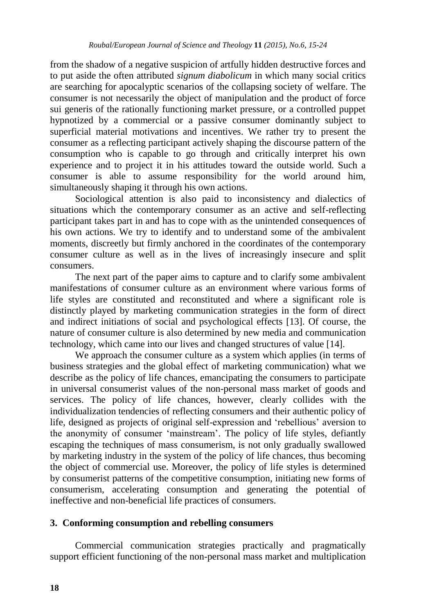from the shadow of a negative suspicion of artfully hidden destructive forces and to put aside the often attributed *signum diabolicum* in which many social critics are searching for apocalyptic scenarios of the collapsing society of welfare. The consumer is not necessarily the object of manipulation and the product of force sui generis of the rationally functioning market pressure, or a controlled puppet hypnotized by a commercial or a passive consumer dominantly subject to superficial material motivations and incentives. We rather try to present the consumer as a reflecting participant actively shaping the discourse pattern of the consumption who is capable to go through and critically interpret his own experience and to project it in his attitudes toward the outside world. Such a consumer is able to assume responsibility for the world around him, simultaneously shaping it through his own actions.

Sociological attention is also paid to inconsistency and dialectics of situations which the contemporary consumer as an active and self-reflecting participant takes part in and has to cope with as the unintended consequences of his own actions. We try to identify and to understand some of the ambivalent moments, discreetly but firmly anchored in the coordinates of the contemporary consumer culture as well as in the lives of increasingly insecure and split consumers.

The next part of the paper aims to capture and to clarify some ambivalent manifestations of consumer culture as an environment where various forms of life styles are constituted and reconstituted and where a significant role is distinctly played by marketing communication strategies in the form of direct and indirect initiations of social and psychological effects [13]. Of course, the nature of consumer culture is also determined by new media and communication technology, which came into our lives and changed structures of value [14].

We approach the consumer culture as a system which applies (in terms of business strategies and the global effect of marketing communication) what we describe as the policy of life chances, emancipating the consumers to participate in universal consumerist values of the non-personal mass market of goods and services. The policy of life chances, however, clearly collides with the individualization tendencies of reflecting consumers and their authentic policy of life, designed as projects of original self-expression and "rebellious" aversion to the anonymity of consumer "mainstream". The policy of life styles, defiantly escaping the techniques of mass consumerism, is not only gradually swallowed by marketing industry in the system of the policy of life chances, thus becoming the object of commercial use. Moreover, the policy of life styles is determined by consumerist patterns of the competitive consumption, initiating new forms of consumerism, accelerating consumption and generating the potential of ineffective and non-beneficial life practices of consumers.

#### **3. Conforming consumption and rebelling consumers**

Commercial communication strategies practically and pragmatically support efficient functioning of the non-personal mass market and multiplication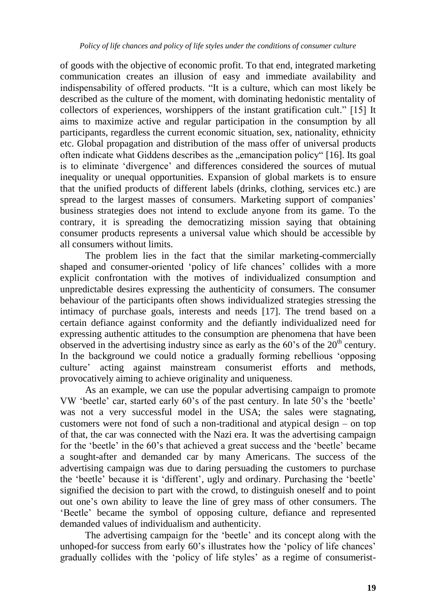of goods with the objective of economic profit. To that end, integrated marketing communication creates an illusion of easy and immediate availability and indispensability of offered products. "It is a culture, which can most likely be described as the culture of the moment, with dominating hedonistic mentality of collectors of experiences, worshippers of the instant gratification cult." [15] It aims to maximize active and regular participation in the consumption by all participants, regardless the current economic situation, sex, nationality, ethnicity etc. Global propagation and distribution of the mass offer of universal products often indicate what Giddens describes as the "emancipation policy" [16]. Its goal is to eliminate "divergence" and differences considered the sources of mutual inequality or unequal opportunities. Expansion of global markets is to ensure that the unified products of different labels (drinks, clothing, services etc.) are spread to the largest masses of consumers. Marketing support of companies" business strategies does not intend to exclude anyone from its game. To the contrary, it is spreading the democratizing mission saying that obtaining consumer products represents a universal value which should be accessible by all consumers without limits.

The problem lies in the fact that the similar marketing-commercially shaped and consumer-oriented "policy of life chances" collides with a more explicit confrontation with the motives of individualized consumption and unpredictable desires expressing the authenticity of consumers. The consumer behaviour of the participants often shows individualized strategies stressing the intimacy of purchase goals, interests and needs [17]. The trend based on a certain defiance against conformity and the defiantly individualized need for expressing authentic attitudes to the consumption are phenomena that have been observed in the advertising industry since as early as the  $60$ 's of the  $20<sup>th</sup>$  century. In the background we could notice a gradually forming rebellious "opposing culture" acting against mainstream consumerist efforts and methods, provocatively aiming to achieve originality and uniqueness.

As an example, we can use the popular advertising campaign to promote VW "beetle" car, started early 60"s of the past century. In late 50"s the "beetle" was not a very successful model in the USA; the sales were stagnating, customers were not fond of such a non-traditional and atypical design – on top of that, the car was connected with the Nazi era. It was the advertising campaign for the "beetle" in the 60"s that achieved a great success and the "beetle" became a sought-after and demanded car by many Americans. The success of the advertising campaign was due to daring persuading the customers to purchase the "beetle" because it is "different", ugly and ordinary. Purchasing the "beetle" signified the decision to part with the crowd, to distinguish oneself and to point out one"s own ability to leave the line of grey mass of other consumers. The "Beetle" became the symbol of opposing culture, defiance and represented demanded values of individualism and authenticity.

The advertising campaign for the "beetle" and its concept along with the unhoped-for success from early 60's illustrates how the 'policy of life chances' gradually collides with the "policy of life styles" as a regime of consumerist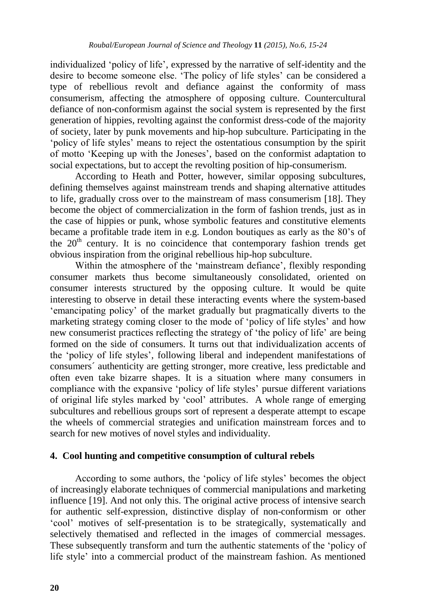individualized "policy of life", expressed by the narrative of self-identity and the desire to become someone else. The policy of life styles' can be considered a type of rebellious revolt and defiance against the conformity of mass consumerism, affecting the atmosphere of opposing culture. Countercultural defiance of non-conformism against the social system is represented by the first generation of hippies, revolting against the conformist dress-code of the majority of society, later by punk movements and hip-hop subculture. Participating in the "policy of life styles" means to reject the ostentatious consumption by the spirit of motto "Keeping up with the Joneses", based on the conformist adaptation to social expectations, but to accept the revolting position of hip-consumerism.

According to Heath and Potter, however, similar opposing subcultures, defining themselves against mainstream trends and shaping alternative attitudes to life, gradually cross over to the mainstream of mass consumerism [18]. They become the object of commercialization in the form of fashion trends, just as in the case of hippies or punk, whose symbolic features and constitutive elements became a profitable trade item in e.g. London boutiques as early as the 80"s of the  $20<sup>th</sup>$  century. It is no coincidence that contemporary fashion trends get obvious inspiration from the original rebellious hip-hop subculture.

Within the atmosphere of the 'mainstream defiance', flexibly responding consumer markets thus become simultaneously consolidated, oriented on consumer interests structured by the opposing culture. It would be quite interesting to observe in detail these interacting events where the system-based "emancipating policy" of the market gradually but pragmatically diverts to the marketing strategy coming closer to the mode of "policy of life styles" and how new consumerist practices reflecting the strategy of "the policy of life" are being formed on the side of consumers. It turns out that individualization accents of the "policy of life styles", following liberal and independent manifestations of consumers´ authenticity are getting stronger, more creative, less predictable and often even take bizarre shapes. It is a situation where many consumers in compliance with the expansive 'policy of life styles' pursue different variations of original life styles marked by "cool" attributes. A whole range of emerging subcultures and rebellious groups sort of represent a desperate attempt to escape the wheels of commercial strategies and unification mainstream forces and to search for new motives of novel styles and individuality.

#### **4. Cool hunting and competitive consumption of cultural rebels**

According to some authors, the "policy of life styles" becomes the object of increasingly elaborate techniques of commercial manipulations and marketing influence [19]. And not only this. The original active process of intensive search for authentic self-expression, distinctive display of non-conformism or other "cool" motives of self-presentation is to be strategically, systematically and selectively thematised and reflected in the images of commercial messages. These subsequently transform and turn the authentic statements of the "policy of life style" into a commercial product of the mainstream fashion. As mentioned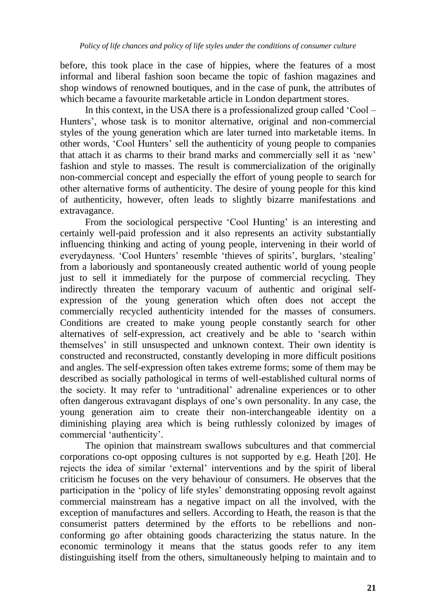before, this took place in the case of hippies, where the features of a most informal and liberal fashion soon became the topic of fashion magazines and shop windows of renowned boutiques, and in the case of punk, the attributes of which became a favourite marketable article in London department stores.

In this context, in the USA there is a professionalized group called "Cool – Hunters', whose task is to monitor alternative, original and non-commercial styles of the young generation which are later turned into marketable items. In other words, "Cool Hunters" sell the authenticity of young people to companies that attach it as charms to their brand marks and commercially sell it as "new" fashion and style to masses. The result is commercialization of the originally non-commercial concept and especially the effort of young people to search for other alternative forms of authenticity. The desire of young people for this kind of authenticity, however, often leads to slightly bizarre manifestations and extravagance.

From the sociological perspective 'Cool Hunting' is an interesting and certainly well-paid profession and it also represents an activity substantially influencing thinking and acting of young people, intervening in their world of everydayness. 'Cool Hunters' resemble 'thieves of spirits', burglars, 'stealing' from a laboriously and spontaneously created authentic world of young people just to sell it immediately for the purpose of commercial recycling. They indirectly threaten the temporary vacuum of authentic and original selfexpression of the young generation which often does not accept the commercially recycled authenticity intended for the masses of consumers. Conditions are created to make young people constantly search for other alternatives of self-expression, act creatively and be able to "search within themselves" in still unsuspected and unknown context. Their own identity is constructed and reconstructed, constantly developing in more difficult positions and angles. The self-expression often takes extreme forms; some of them may be described as socially pathological in terms of well-established cultural norms of the society. It may refer to "untraditional" adrenaline experiences or to other often dangerous extravagant displays of one"s own personality. In any case, the young generation aim to create their non-interchangeable identity on a diminishing playing area which is being ruthlessly colonized by images of commercial "authenticity".

The opinion that mainstream swallows subcultures and that commercial corporations co-opt opposing cultures is not supported by e.g. Heath [20]. He rejects the idea of similar "external" interventions and by the spirit of liberal criticism he focuses on the very behaviour of consumers. He observes that the participation in the "policy of life styles" demonstrating opposing revolt against commercial mainstream has a negative impact on all the involved, with the exception of manufactures and sellers. According to Heath, the reason is that the consumerist patters determined by the efforts to be rebellions and nonconforming go after obtaining goods characterizing the status nature. In the economic terminology it means that the status goods refer to any item distinguishing itself from the others, simultaneously helping to maintain and to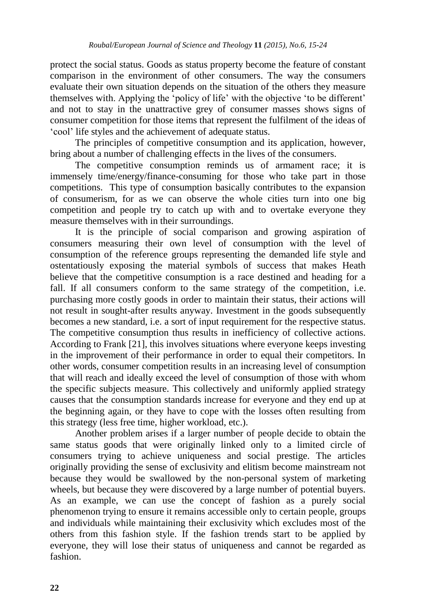protect the social status. Goods as status property become the feature of constant comparison in the environment of other consumers. The way the consumers evaluate their own situation depends on the situation of the others they measure themselves with. Applying the "policy of life" with the objective "to be different" and not to stay in the unattractive grey of consumer masses shows signs of consumer competition for those items that represent the fulfilment of the ideas of "cool" life styles and the achievement of adequate status.

The principles of competitive consumption and its application, however, bring about a number of challenging effects in the lives of the consumers.

The competitive consumption reminds us of armament race; it is immensely time/energy/finance-consuming for those who take part in those competitions. This type of consumption basically contributes to the expansion of consumerism, for as we can observe the whole cities turn into one big competition and people try to catch up with and to overtake everyone they measure themselves with in their surroundings.

It is the principle of social comparison and growing aspiration of consumers measuring their own level of consumption with the level of consumption of the reference groups representing the demanded life style and ostentatiously exposing the material symbols of success that makes Heath believe that the competitive consumption is a race destined and heading for a fall. If all consumers conform to the same strategy of the competition, i.e. purchasing more costly goods in order to maintain their status, their actions will not result in sought-after results anyway. Investment in the goods subsequently becomes a new standard, i.e. a sort of input requirement for the respective status. The competitive consumption thus results in inefficiency of collective actions. According to Frank [21], this involves situations where everyone keeps investing in the improvement of their performance in order to equal their competitors. In other words, consumer competition results in an increasing level of consumption that will reach and ideally exceed the level of consumption of those with whom the specific subjects measure. This collectively and uniformly applied strategy causes that the consumption standards increase for everyone and they end up at the beginning again, or they have to cope with the losses often resulting from this strategy (less free time, higher workload, etc.).

Another problem arises if a larger number of people decide to obtain the same status goods that were originally linked only to a limited circle of consumers trying to achieve uniqueness and social prestige. The articles originally providing the sense of exclusivity and elitism become mainstream not because they would be swallowed by the non-personal system of marketing wheels, but because they were discovered by a large number of potential buyers. As an example, we can use the concept of fashion as a purely social phenomenon trying to ensure it remains accessible only to certain people, groups and individuals while maintaining their exclusivity which excludes most of the others from this fashion style. If the fashion trends start to be applied by everyone, they will lose their status of uniqueness and cannot be regarded as fashion.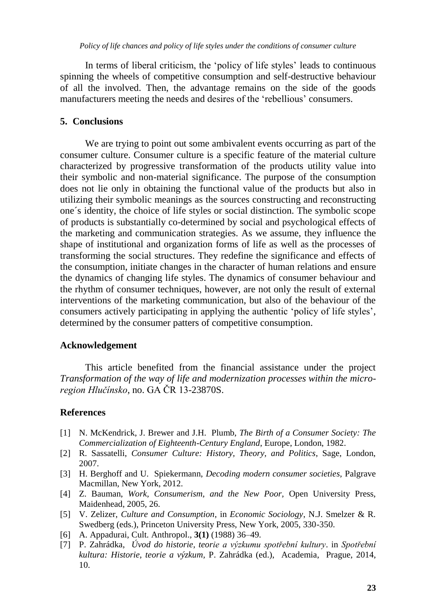In terms of liberal criticism, the "policy of life styles" leads to continuous spinning the wheels of competitive consumption and self-destructive behaviour of all the involved. Then, the advantage remains on the side of the goods manufacturers meeting the needs and desires of the "rebellious" consumers.

#### **5. Conclusions**

We are trying to point out some ambivalent events occurring as part of the consumer culture. Consumer culture is a specific feature of the material culture characterized by progressive transformation of the products utility value into their symbolic and non-material significance. The purpose of the consumption does not lie only in obtaining the functional value of the products but also in utilizing their symbolic meanings as the sources constructing and reconstructing one´s identity, the choice of life styles or social distinction. The symbolic scope of products is substantially co-determined by social and psychological effects of the marketing and communication strategies. As we assume, they influence the shape of institutional and organization forms of life as well as the processes of transforming the social structures. They redefine the significance and effects of the consumption, initiate changes in the character of human relations and ensure the dynamics of changing life styles. The dynamics of consumer behaviour and the rhythm of consumer techniques, however, are not only the result of external interventions of the marketing communication, but also of the behaviour of the consumers actively participating in applying the authentic "policy of life styles", determined by the consumer patters of competitive consumption.

#### **Acknowledgement**

This article benefited from the financial assistance under the project *Transformation of the way of life and modernization processes within the microregion Hlučínsko*, no. GA ČR 13-23870S.

#### **References**

- [1] N. McKendrick, J. Brewer and J.H. Plumb, *The Birth of a Consumer Society: The Commercialization of Eighteenth-Century England*, Europe, London, 1982.
- [2] R. Sassatelli, *Consumer Culture: History, Theory, and Politics*, Sage, London, 2007.
- [3] H. Berghoff and U. Spiekermann, *Decoding modern consumer societies,* Palgrave Macmillan, New York, 2012.
- [4] Z. Bauman, *Work, Consumerism, and the New Poor,* Open University Press, Maidenhead, 2005, 26.
- [5] V. Zelizer, *Culture and Consumption*, in *Economic Sociology*, N.J. Smelzer & R. Swedberg (eds.), Princeton University Press, New York, 2005, 330-350.
- [6] A. Appadurai, Cult. Anthropol.*,* **3(1)** (1988) 36–49.
- [7] P. Zahrádka, *Úvod do historie, teorie a výzkumu spotřební kultury*. in *Spotřební kultura: Historie, teorie a výzkum,* P. Zahrádka (ed.), Academia, Prague, 2014, 10.